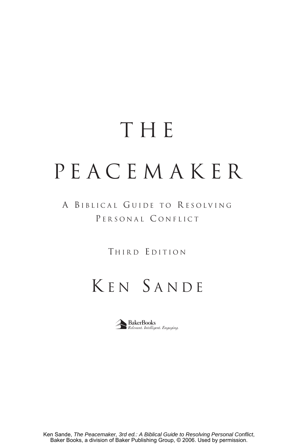# THE p e a c e m a k e r

## A BIBLICAL GUIDE TO RESOLVING PERSONAL CONFLICT

THIRD EDITION

# KEN SANDE



Ken Sande, *The Peacemaker, 3rd ed.: A Biblical Guide to Resolving Personal Conflict*, Baker Books, a division of Baker Publishing Group, © 2006. Used by permission.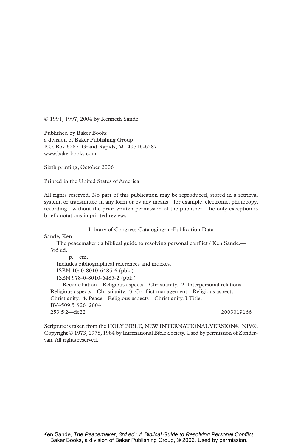© 1991, 1997, 2004 by Kenneth Sande

Published by Baker Books a division of Baker Publishing Group P.O. Box 6287, Grand Rapids, MI 49516-6287 www.bakerbooks.com

Sixth printing, October 2006

Printed in the United States of America

All rights reserved. No part of this publication may be reproduced, stored in a retrieval system, or transmitted in any form or by any means—for example, electronic, photocopy, recording—without the prior written permission of the publisher. The only exception is brief quotations in printed reviews.

Library of Congress Cataloging-in-Publication Data

Sande, Ken.

The peacemaker : a biblical guide to resolving personal conflict / Ken Sande.— 3rd ed.

p. cm.

Includes bibliographical references and indexes. ISBN 10: 0-8010-6485-6 (pbk.) ISBN 978-0-8010-6485-2 (pbk.) 1. Reconciliation—Religious aspects—Christianity. 2. Interpersonal relations— Religious aspects—Christianity. 3. Conflict management—Religious aspects— Christianity. 4. Peace—Religious aspects—Christianity. I.Title. BV4509.5 S26 2004 253.5 2—dc22 2003019166

Scripture is taken from the HOLY BIBLE, NEW INTERNATIONAL VERSION®. NIV®. Copyright © 1973, 1978, 1984 by International Bible Society. Used by permission of Zondervan. All rights reserved.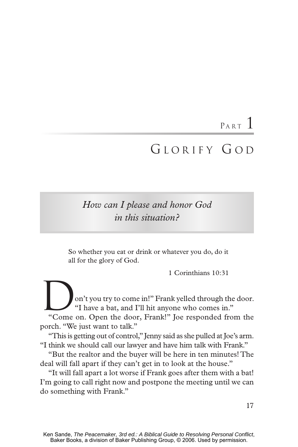# $PART$

# GLORIEY GOD

### *How can I please and honor God in this situation?*

So whether you eat or drink or whatever you do, do it all for the glory of God.

1 Corinthians 10:31

on't you try to come in!" Frank yelled through the door. "I have a bat, and I'll hit anyone who comes in." "Come on. Open the door, Frank!" Joe responded from the porch. "We just want to talk."

"This is getting out of control," Jenny said as she pulled at Joe's arm. "I think we should call our lawyer and have him talk with Frank."

"But the realtor and the buyer will be here in ten minutes! The deal will fall apart if they can't get in to look at the house."

"It will fall apart a lot worse if Frank goes after them with a bat! I'm going to call right now and postpone the meeting until we can do something with Frank."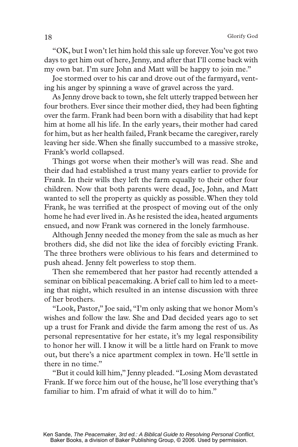"OK, but I won't let him hold this sale up forever. You've got two days to get him out of here, Jenny, and after that I'll come back with my own bat. I'm sure John and Matt will be happy to join me."

Joe stormed over to his car and drove out of the farmyard, venting his anger by spinning a wave of gravel across the yard.

As Jenny drove back to town, she felt utterly trapped between her four brothers. Ever since their mother died, they had been fighting over the farm. Frank had been born with a disability that had kept him at home all his life. In the early years, their mother had cared for him, but as her health failed, Frank became the caregiver, rarely leaving her side. When she finally succumbed to a massive stroke, Frank's world collapsed.

Things got worse when their mother's will was read. She and their dad had established a trust many years earlier to provide for Frank. In their wills they left the farm equally to their other four children. Now that both parents were dead, Joe, John, and Matt wanted to sell the property as quickly as possible. When they told Frank, he was terrified at the prospect of moving out of the only home he had ever lived in. As he resisted the idea, heated arguments ensued, and now Frank was cornered in the lonely farmhouse.

Although Jenny needed the money from the sale as much as her brothers did, she did not like the idea of forcibly evicting Frank. The three brothers were oblivious to his fears and determined to push ahead. Jenny felt powerless to stop them.

Then she remembered that her pastor had recently attended a seminar on biblical peacemaking. A brief call to him led to a meeting that night, which resulted in an intense discussion with three of her brothers.

"Look, Pastor," Joe said, "I'm only asking that we honor Mom's wishes and follow the law. She and Dad decided years ago to set up a trust for Frank and divide the farm among the rest of us. As personal representative for her estate, it's my legal responsibility to honor her will. I know it will be a little hard on Frank to move out, but there's a nice apartment complex in town. He'll settle in there in no time."

"But it could kill him," Jenny pleaded. "Losing Mom devastated Frank. If we force him out of the house, he'll lose everything that's familiar to him. I'm afraid of what it will do to him."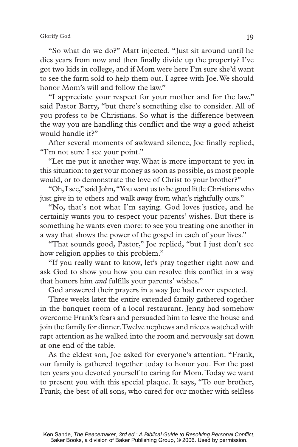#### Glorify God 19

"So what do we do?" Matt injected. "Just sit around until he dies years from now and then finally divide up the property? I've got two kids in college, and if Mom were here I'm sure she'd want to see the farm sold to help them out. I agree with Joe. We should honor Mom's will and follow the law."

"I appreciate your respect for your mother and for the law," said Pastor Barry, "but there's something else to consider. All of you profess to be Christians. So what is the difference between the way you are handling this conflict and the way a good atheist would handle it?"

After several moments of awkward silence, Joe finally replied, "I'm not sure I see your point."

"Let me put it another way. What is more important to you in this situation: to get your money as soon as possible, as most people would, or to demonstrate the love of Christ to your brother?"

"Oh, I see," said John, "You want us to be good little Christians who just give in to others and walk away from what's rightfully ours."

"No, that's not what I'm saying. God loves justice, and he certainly wants you to respect your parents' wishes. But there is something he wants even more: to see you treating one another in a way that shows the power of the gospel in each of your lives."

"That sounds good, Pastor," Joe replied, "but I just don't see how religion applies to this problem."

"If you really want to know, let's pray together right now and ask God to show you how you can resolve this conflict in a way that honors him *and* fulfills your parents' wishes."

God answered their prayers in a way Joe had never expected.

Three weeks later the entire extended family gathered together in the banquet room of a local restaurant. Jenny had somehow overcome Frank's fears and persuaded him to leave the house and join the family for dinner. Twelve nephews and nieces watched with rapt attention as he walked into the room and nervously sat down at one end of the table.

As the eldest son, Joe asked for everyone's attention. "Frank, our family is gathered together today to honor you. For the past ten years you devoted yourself to caring for Mom. Today we want to present you with this special plaque. It says, "To our brother, Frank, the best of all sons, who cared for our mother with selfless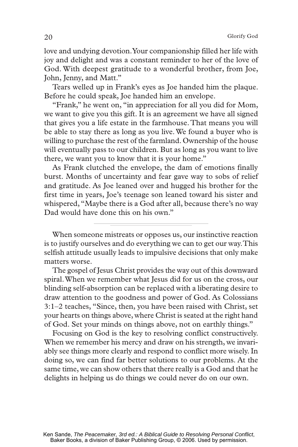love and undying devotion. Your companionship filled her life with joy and delight and was a constant reminder to her of the love of God. With deepest gratitude to a wonderful brother, from Joe, John, Jenny, and Matt."

Tears welled up in Frank's eyes as Joe handed him the plaque. Before he could speak, Joe handed him an envelope.

"Frank," he went on, "in appreciation for all you did for Mom, we want to give you this gift. It is an agreement we have all signed that gives you a life estate in the farmhouse. That means you will be able to stay there as long as you live. We found a buyer who is willing to purchase the rest of the farmland. Ownership of the house will eventually pass to our children. But as long as you want to live there, we want you to know that it is your home."

As Frank clutched the envelope, the dam of emotions finally burst. Months of uncertainty and fear gave way to sobs of relief and gratitude. As Joe leaned over and hugged his brother for the first time in years, Joe's teenage son leaned toward his sister and whispered, "Maybe there is a God after all, because there's no way Dad would have done this on his own."

When someone mistreats or opposes us, our instinctive reaction is to justify ourselves and do everything we can to get our way. This selfish attitude usually leads to impulsive decisions that only make matters worse.

The gospel of Jesus Christ provides the way out of this downward spiral. When we remember what Jesus did for us on the cross, our blinding self-absorption can be replaced with a liberating desire to draw attention to the goodness and power of God. As Colossians 3:1–2 teaches, "Since, then, you have been raised with Christ, set your hearts on things above, where Christ is seated at the right hand of God. Set your minds on things above, not on earthly things."

Focusing on God is the key to resolving conflict constructively. When we remember his mercy and draw on his strength, we invariably see things more clearly and respond to conflict more wisely. In doing so, we can find far better solutions to our problems. At the same time, we can show others that there really is a God and that he delights in helping us do things we could never do on our own.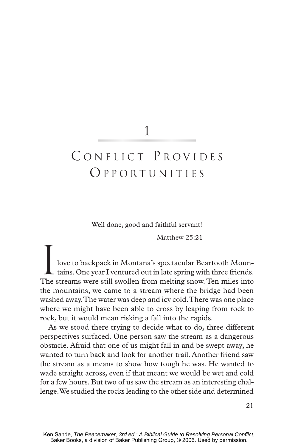1

# CONFLICT PROVIDES O P P O R T U N I T I E S

Well done, good and faithful servant!

Matthew 25:21

love to backpack in Montana's spectacular Beartooth Mountains. One year I ventured out in late spring with three friends. The streams were still swollen from melting snow. Ten miles into the mountains, we came to a stream where the bridge had been washed away. The water was deep and icy cold. There was one place where we might have been able to cross by leaping from rock to rock, but it would mean risking a fall into the rapids.

As we stood there trying to decide what to do, three different perspectives surfaced. One person saw the stream as a dangerous obstacle. Afraid that one of us might fall in and be swept away, he wanted to turn back and look for another trail. Another friend saw the stream as a means to show how tough he was. He wanted to wade straight across, even if that meant we would be wet and cold for a few hours. But two of us saw the stream as an interesting challenge. We studied the rocks leading to the other side and determined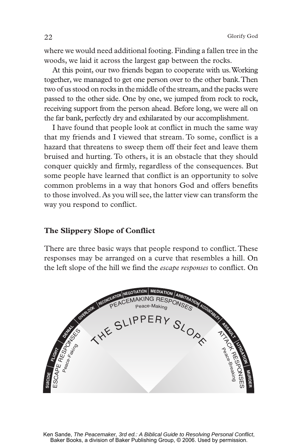where we would need additional footing. Finding a fallen tree in the woods, we laid it across the largest gap between the rocks.

At this point, our two friends began to cooperate with us. Working together, we managed to get one person over to the other bank. Then two of us stood on rocks in the middle of the stream, and the packs were passed to the other side. One by one, we jumped from rock to rock, receiving support from the person ahead. Before long, we were all on the far bank, perfectly dry and exhilarated by our accomplishment.

I have found that people look at conflict in much the same way that my friends and I viewed that stream. To some, conflict is a hazard that threatens to sweep them off their feet and leave them bruised and hurting. To others, it is an obstacle that they should conquer quickly and firmly, regardless of the consequences. But some people have learned that conflict is an opportunity to solve common problems in a way that honors God and offers benefits to those involved. As you will see, the latter view can transform the way you respond to conflict.

#### **The Slippery Slope of Conflict**

There are three basic ways that people respond to conflict. These responses may be arranged on a curve that resembles a hill. On the left slope of the hill we find the *escape responses* to conflict. On

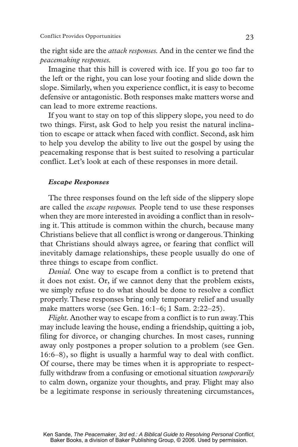the right side are the *attack responses.* And in the center we find the *peacemaking responses.*

Imagine that this hill is covered with ice. If you go too far to the left or the right, you can lose your footing and slide down the slope. Similarly, when you experience conflict, it is easy to become defensive or antagonistic. Both responses make matters worse and can lead to more extreme reactions.

If you want to stay on top of this slippery slope, you need to do two things. First, ask God to help you resist the natural inclination to escape or attack when faced with conflict. Second, ask him to help you develop the ability to live out the gospel by using the peacemaking response that is best suited to resolving a particular conflict. Let's look at each of these responses in more detail.

#### *Escape Responses*

The three responses found on the left side of the slippery slope are called the *escape responses.* People tend to use these responses when they are more interested in avoiding a conflict than in resolving it. This attitude is common within the church, because many Christians believe that all conflict is wrong or dangerous. Thinking that Christians should always agree, or fearing that conflict will inevitably damage relationships, these people usually do one of three things to escape from conflict.

*Denial.* One way to escape from a conflict is to pretend that it does not exist. Or, if we cannot deny that the problem exists, we simply refuse to do what should be done to resolve a conflict properly. These responses bring only temporary relief and usually make matters worse (see Gen. 16:1–6; 1 Sam. 2:22–25).

*Flight.* Another way to escape from a conflict is to run away. This may include leaving the house, ending a friendship, quitting a job, filing for divorce, or changing churches. In most cases, running away only postpones a proper solution to a problem (see Gen. 16:6–8), so flight is usually a harmful way to deal with conflict. Of course, there may be times when it is appropriate to respectfully withdraw from a confusing or emotional situation *temporarily* to calm down, organize your thoughts, and pray. Flight may also be a legitimate response in seriously threatening circumstances,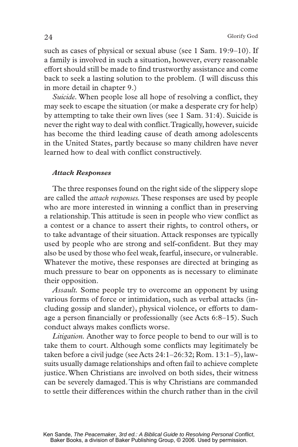such as cases of physical or sexual abuse (see 1 Sam. 19:9–10). If a family is involved in such a situation, however, every reasonable effort should still be made to find trustworthy assistance and come back to seek a lasting solution to the problem. (I will discuss this in more detail in chapter 9.)

*Suicide.* When people lose all hope of resolving a conflict, they may seek to escape the situation (or make a desperate cry for help) by attempting to take their own lives (see 1 Sam. 31:4). Suicide is never the right way to deal with conflict. Tragically, however, suicide has become the third leading cause of death among adolescents in the United States, partly because so many children have never learned how to deal with conflict constructively.

#### *Attack Responses*

The three responses found on the right side of the slippery slope are called the *attack responses.* These responses are used by people who are more interested in winning a conflict than in preserving a relationship. This attitude is seen in people who view conflict as a contest or a chance to assert their rights, to control others, or to take advantage of their situation. Attack responses are typically used by people who are strong and self-confident. But they may also be used by those who feel weak, fearful, insecure, or vulnerable. Whatever the motive, these responses are directed at bringing as much pressure to bear on opponents as is necessary to eliminate their opposition.

*Assault.* Some people try to overcome an opponent by using various forms of force or intimidation, such as verbal attacks (including gossip and slander), physical violence, or efforts to damage a person financially or professionally (see Acts 6:8–15). Such conduct always makes conflicts worse.

*Litigation.* Another way to force people to bend to our will is to take them to court. Although some conflicts may legitimately be taken before a civil judge (see Acts 24:1–26:32; Rom. 13:1–5), lawsuits usually damage relationships and often fail to achieve complete justice. When Christians are involved on both sides, their witness can be severely damaged. This is why Christians are commanded to settle their differences within the church rather than in the civil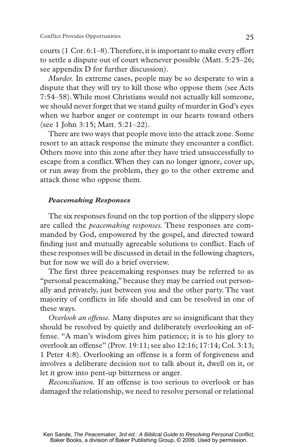courts (1 Cor. 6:1–8). Therefore, it is important to make every effort to settle a dispute out of court whenever possible (Matt. 5:25–26; see appendix D for further discussion).

*Murder.* In extreme cases, people may be so desperate to win a dispute that they will try to kill those who oppose them (see Acts 7:54–58). While most Christians would not actually kill someone, we should never forget that we stand guilty of murder in God's eyes when we harbor anger or contempt in our hearts toward others (see 1 John 3:15; Matt. 5:21–22).

There are two ways that people move into the attack zone. Some resort to an attack response the minute they encounter a conflict. Others move into this zone after they have tried unsuccessfully to escape from a conflict. When they can no longer ignore, cover up, or run away from the problem, they go to the other extreme and attack those who oppose them.

#### *Peacemaking Responses*

The six responses found on the top portion of the slippery slope are called the *peacemaking responses.* These responses are commanded by God, empowered by the gospel, and directed toward finding just and mutually agreeable solutions to conflict. Each of these responses will be discussed in detail in the following chapters, but for now we will do a brief overview.

The first three peacemaking responses may be referred to as "personal peacemaking," because they may be carried out personally and privately, just between you and the other party. The vast majority of conflicts in life should and can be resolved in one of these ways.

*Overlook an offense.* Many disputes are so insignificant that they should be resolved by quietly and deliberately overlooking an offense. "A man's wisdom gives him patience; it is to his glory to overlook an offense" (Prov. 19:11; see also 12:16; 17:14; Col. 3:13; 1 Peter 4:8). Overlooking an offense is a form of forgiveness and involves a deliberate decision not to talk about it, dwell on it, or let it grow into pent-up bitterness or anger.

*Reconciliation.* If an offense is too serious to overlook or has damaged the relationship, we need to resolve personal or relational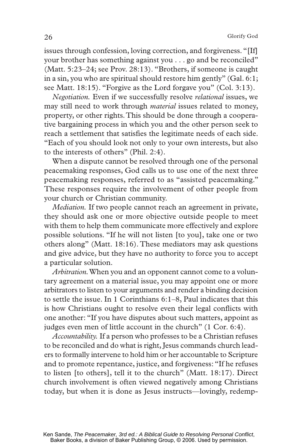issues through confession, loving correction, and forgiveness. "[If] your brother has something against you . . . go and be reconciled" (Matt. 5:23–24; see Prov. 28:13). "Brothers, if someone is caught in a sin, you who are spiritual should restore him gently" (Gal. 6:1; see Matt. 18:15). "Forgive as the Lord forgave you" (Col. 3:13).

*Negotiation.* Even if we successfully resolve *relational* issues, we may still need to work through *material* issues related to money, property, or other rights. This should be done through a cooperative bargaining process in which you and the other person seek to reach a settlement that satisfies the legitimate needs of each side. "Each of you should look not only to your own interests, but also to the interests of others" (Phil. 2:4).

When a dispute cannot be resolved through one of the personal peacemaking responses, God calls us to use one of the next three peacemaking responses, referred to as "assisted peacemaking." These responses require the involvement of other people from your church or Christian community.

*Mediation.* If two people cannot reach an agreement in private, they should ask one or more objective outside people to meet with them to help them communicate more effectively and explore possible solutions. "If he will not listen [to you], take one or two others along" (Matt. 18:16). These mediators may ask questions and give advice, but they have no authority to force you to accept a particular solution.

*Arbitration.* When you and an opponent cannot come to a voluntary agreement on a material issue, you may appoint one or more arbitrators to listen to your arguments and render a binding decision to settle the issue. In 1 Corinthians 6:1–8, Paul indicates that this is how Christians ought to resolve even their legal conflicts with one another: "If you have disputes about such matters, appoint as judges even men of little account in the church" (1 Cor. 6:4).

*Accountability.* If a person who professes to be a Christian refuses to be reconciled and do what is right, Jesus commands church leaders to formally intervene to hold him or her accountable to Scripture and to promote repentance, justice, and forgiveness: "If he refuses to listen [to others], tell it to the church" (Matt. 18:17). Direct church involvement is often viewed negatively among Christians today, but when it is done as Jesus instructs—lovingly, redemp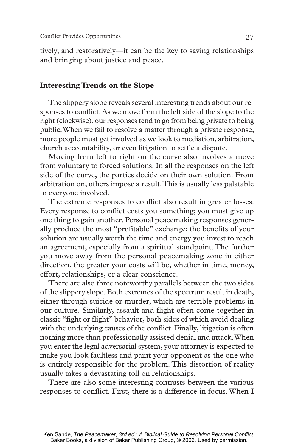tively, and restoratively—it can be the key to saving relationships and bringing about justice and peace.

#### **Interesting Trends on the Slope**

The slippery slope reveals several interesting trends about our responses to conflict. As we move from the left side of the slope to the right (clockwise), our responses tend to go from being private to being public. When we fail to resolve a matter through a private response, more people must get involved as we look to mediation, arbitration, church accountability, or even litigation to settle a dispute.

Moving from left to right on the curve also involves a move from voluntary to forced solutions. In all the responses on the left side of the curve, the parties decide on their own solution. From arbitration on, others impose a result. This is usually less palatable to everyone involved.

The extreme responses to conflict also result in greater losses. Every response to conflict costs you something; you must give up one thing to gain another. Personal peacemaking responses generally produce the most "profitable" exchange; the benefits of your solution are usually worth the time and energy you invest to reach an agreement, especially from a spiritual standpoint. The further you move away from the personal peacemaking zone in either direction, the greater your costs will be, whether in time, money, effort, relationships, or a clear conscience.

There are also three noteworthy parallels between the two sides of the slippery slope. Both extremes of the spectrum result in death, either through suicide or murder, which are terrible problems in our culture. Similarly, assault and flight often come together in classic "fight or flight" behavior, both sides of which avoid dealing with the underlying causes of the conflict. Finally, litigation is often nothing more than professionally assisted denial and attack. When you enter the legal adversarial system, your attorney is expected to make you look faultless and paint your opponent as the one who is entirely responsible for the problem. This distortion of reality usually takes a devastating toll on relationships.

There are also some interesting contrasts between the various responses to conflict. First, there is a difference in focus. When I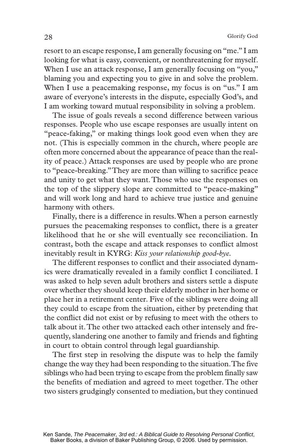resort to an escape response, I am generally focusing on "me." I am looking for what is easy, convenient, or nonthreatening for myself. When I use an attack response, I am generally focusing on "you," blaming you and expecting you to give in and solve the problem. When I use a peacemaking response, my focus is on "us." I am aware of everyone's interests in the dispute, especially God's, and I am working toward mutual responsibility in solving a problem.

The issue of goals reveals a second difference between various responses. People who use escape responses are usually intent on "peace-faking," or making things look good even when they are not. (This is especially common in the church, where people are often more concerned about the appearance of peace than the reality of peace.) Attack responses are used by people who are prone to "peace-breaking." They are more than willing to sacrifice peace and unity to get what they want. Those who use the responses on the top of the slippery slope are committed to "peace-making" and will work long and hard to achieve true justice and genuine harmony with others.

Finally, there is a difference in results. When a person earnestly pursues the peacemaking responses to conflict, there is a greater likelihood that he or she will eventually see reconciliation. In contrast, both the escape and attack responses to conflict almost inevitably result in KYRG: *Kiss your relationship good-bye.*

The different responses to conflict and their associated dynamics were dramatically revealed in a family conflict I conciliated. I was asked to help seven adult brothers and sisters settle a dispute over whether they should keep their elderly mother in her home or place her in a retirement center. Five of the siblings were doing all they could to escape from the situation, either by pretending that the conflict did not exist or by refusing to meet with the others to talk about it. The other two attacked each other intensely and frequently, slandering one another to family and friends and fighting in court to obtain control through legal guardianship.

The first step in resolving the dispute was to help the family change the way they had been responding to the situation. The five siblings who had been trying to escape from the problem finally saw the benefits of mediation and agreed to meet together. The other two sisters grudgingly consented to mediation, but they continued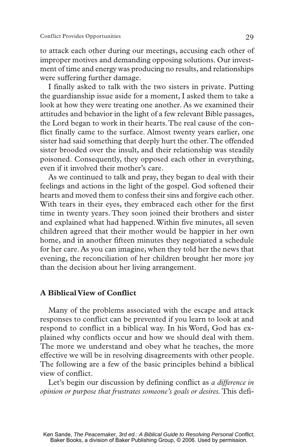to attack each other during our meetings, accusing each other of improper motives and demanding opposing solutions. Our investment of time and energy was producing no results, and relationships were suffering further damage.

I finally asked to talk with the two sisters in private. Putting the guardianship issue aside for a moment, I asked them to take a look at how they were treating one another. As we examined their attitudes and behavior in the light of a few relevant Bible passages, the Lord began to work in their hearts. The real cause of the conflict finally came to the surface. Almost twenty years earlier, one sister had said something that deeply hurt the other. The offended sister brooded over the insult, and their relationship was steadily poisoned. Consequently, they opposed each other in everything, even if it involved their mother's care.

As we continued to talk and pray, they began to deal with their feelings and actions in the light of the gospel. God softened their hearts and moved them to confess their sins and forgive each other. With tears in their eyes, they embraced each other for the first time in twenty years. They soon joined their brothers and sister and explained what had happened. Within five minutes, all seven children agreed that their mother would be happier in her own home, and in another fifteen minutes they negotiated a schedule for her care. As you can imagine, when they told her the news that evening, the reconciliation of her children brought her more joy than the decision about her living arrangement.

#### **A Biblical View of Conflict**

Many of the problems associated with the escape and attack responses to conflict can be prevented if you learn to look at and respond to conflict in a biblical way. In his Word, God has explained why conflicts occur and how we should deal with them. The more we understand and obey what he teaches, the more effective we will be in resolving disagreements with other people. The following are a few of the basic principles behind a biblical view of conflict.

Let's begin our discussion by defining conflict as *a difference in opinion or purpose that frustrates someone's goals or desires.* This defi-

Ken Sande, *The Peacemaker, 3rd ed.: A Biblical Guide to Resolving Personal Conflict*, Baker Books, a division of Baker Publishing Group, © 2006. Used by permission.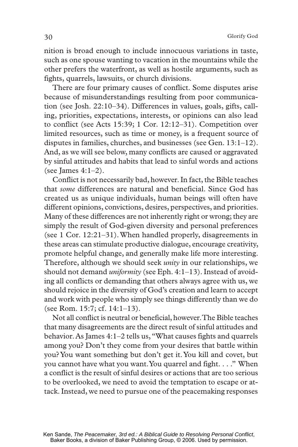nition is broad enough to include innocuous variations in taste, such as one spouse wanting to vacation in the mountains while the other prefers the waterfront, as well as hostile arguments, such as fights, quarrels, lawsuits, or church divisions.

There are four primary causes of conflict. Some disputes arise because of misunderstandings resulting from poor communication (see Josh. 22:10–34). Differences in values, goals, gifts, calling, priorities, expectations, interests, or opinions can also lead to conflict (see Acts 15:39; 1 Cor. 12:12–31). Competition over limited resources, such as time or money, is a frequent source of disputes in families, churches, and businesses (see Gen. 13:1–12). And, as we will see below, many conflicts are caused or aggravated by sinful attitudes and habits that lead to sinful words and actions (see James  $4:1-2$ ).

Conflict is not necessarily bad, however. In fact, the Bible teaches that *some* differences are natural and beneficial. Since God has created us as unique individuals, human beings will often have different opinions, convictions, desires, perspectives, and priorities. Many of these differences are not inherently right or wrong; they are simply the result of God-given diversity and personal preferences (see 1 Cor. 12:21–31). When handled properly, disagreements in these areas can stimulate productive dialogue, encourage creativity, promote helpful change, and generally make life more interesting. Therefore, although we should seek *unity* in our relationships, we should not demand *uniformity* (see Eph. 4:1–13). Instead of avoiding all conflicts or demanding that others always agree with us, we should rejoice in the diversity of God's creation and learn to accept and work with people who simply see things differently than we do (see Rom. 15:7; cf. 14:1–13).

Not all conflict is neutral or beneficial, however. The Bible teaches that many disagreements are the direct result of sinful attitudes and behavior. As James 4:1–2 tells us, "What causes fights and quarrels among you? Don't they come from your desires that battle within you? You want something but don't get it. You kill and covet, but you cannot have what you want. You quarrel and fight. . . ." When a conflict is the result of sinful desires or actions that are too serious to be overlooked, we need to avoid the temptation to escape or attack. Instead, we need to pursue one of the peacemaking responses

Ken Sande, *The Peacemaker, 3rd ed.: A Biblical Guide to Resolving Personal Conflict*, Baker Books, a division of Baker Publishing Group, © 2006. Used by permission.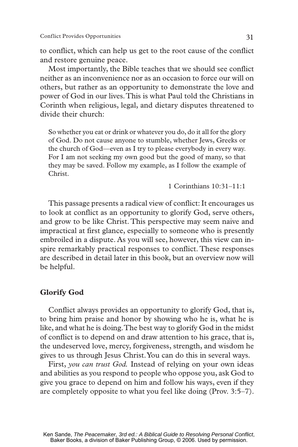to conflict, which can help us get to the root cause of the conflict and restore genuine peace.

Most importantly, the Bible teaches that we should see conflict neither as an inconvenience nor as an occasion to force our will on others, but rather as an opportunity to demonstrate the love and power of God in our lives. This is what Paul told the Christians in Corinth when religious, legal, and dietary disputes threatened to divide their church:

So whether you eat or drink or whatever you do, do it all for the glory of God. Do not cause anyone to stumble, whether Jews, Greeks or the church of God—even as I try to please everybody in every way. For I am not seeking my own good but the good of many, so that they may be saved. Follow my example, as I follow the example of Christ.

1 Corinthians 10:31–11:1

This passage presents a radical view of conflict: It encourages us to look at conflict as an opportunity to glorify God, serve others, and grow to be like Christ. This perspective may seem naive and impractical at first glance, especially to someone who is presently embroiled in a dispute. As you will see, however, this view can inspire remarkably practical responses to conflict. These responses are described in detail later in this book, but an overview now will be helpful.

#### **Glorify God**

Conflict always provides an opportunity to glorify God, that is, to bring him praise and honor by showing who he is, what he is like, and what he is doing. The best way to glorify God in the midst of conflict is to depend on and draw attention to his grace, that is, the undeserved love, mercy, forgiveness, strength, and wisdom he gives to us through Jesus Christ. You can do this in several ways.

First, *you can trust God.* Instead of relying on your own ideas and abilities as you respond to people who oppose you, ask God to give you grace to depend on him and follow his ways, even if they are completely opposite to what you feel like doing (Prov. 3:5–7).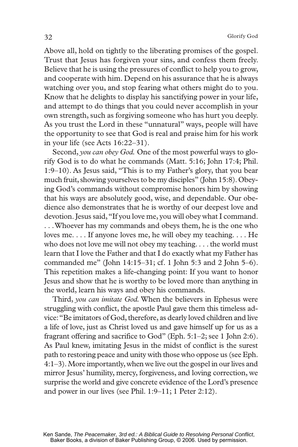Above all, hold on tightly to the liberating promises of the gospel. Trust that Jesus has forgiven your sins, and confess them freely. Believe that he is using the pressures of conflict to help you to grow, and cooperate with him. Depend on his assurance that he is always watching over you, and stop fearing what others might do to you. Know that he delights to display his sanctifying power in your life, and attempt to do things that you could never accomplish in your own strength, such as forgiving someone who has hurt you deeply. As you trust the Lord in these "unnatural" ways, people will have the opportunity to see that God is real and praise him for his work in your life (see Acts 16:22–31).

Second, *you can obey God.* One of the most powerful ways to glorify God is to do what he commands (Matt. 5:16; John 17:4; Phil. 1:9–10). As Jesus said, "This is to my Father's glory, that you bear much fruit, showing yourselves to be my disciples" (John 15:8). Obeying God's commands without compromise honors him by showing that his ways are absolutely good, wise, and dependable. Our obedience also demonstrates that he is worthy of our deepest love and devotion. Jesus said, "If you love me, you will obey what I command. . . . Whoever has my commands and obeys them, he is the one who loves me. . . . If anyone loves me, he will obey my teaching. . . . He who does not love me will not obey my teaching. . . . the world must learn that I love the Father and that I do exactly what my Father has commanded me" (John 14:15–31; cf. 1 John 5:3 and 2 John 5–6). This repetition makes a life-changing point: If you want to honor Jesus and show that he is worthy to be loved more than anything in the world, learn his ways and obey his commands.

Third, *you can imitate God.* When the believers in Ephesus were struggling with conflict, the apostle Paul gave them this timeless advice: "Be imitators of God, therefore, as dearly loved children and live a life of love, just as Christ loved us and gave himself up for us as a fragrant offering and sacrifice to God" (Eph. 5:1–2; see 1 John 2:6). As Paul knew, imitating Jesus in the midst of conflict is the surest path to restoring peace and unity with those who oppose us (see Eph. 4:1–3). More importantly, when we live out the gospel in our lives and mirror Jesus' humility, mercy, forgiveness, and loving correction, we surprise the world and give concrete evidence of the Lord's presence and power in our lives (see Phil. 1:9–11; 1 Peter 2:12).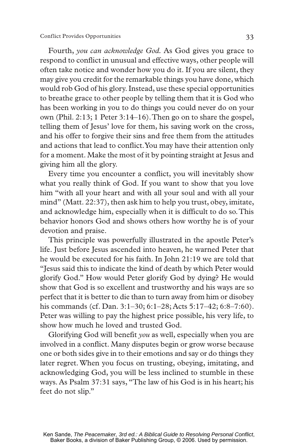Fourth, *you can acknowledge God.* As God gives you grace to respond to conflict in unusual and effective ways, other people will often take notice and wonder how you do it. If you are silent, they may give you credit for the remarkable things you have done, which would rob God of his glory. Instead, use these special opportunities to breathe grace to other people by telling them that it is God who has been working in you to do things you could never do on your own (Phil. 2:13; 1 Peter 3:14–16). Then go on to share the gospel, telling them of Jesus' love for them, his saving work on the cross, and his offer to forgive their sins and free them from the attitudes and actions that lead to conflict. You may have their attention only for a moment. Make the most of it by pointing straight at Jesus and giving him all the glory.

Every time you encounter a conflict, you will inevitably show what you really think of God. If you want to show that you love him "with all your heart and with all your soul and with all your mind" (Matt. 22:37), then ask him to help you trust, obey, imitate, and acknowledge him, especially when it is difficult to do so. This behavior honors God and shows others how worthy he is of your devotion and praise.

This principle was powerfully illustrated in the apostle Peter's life. Just before Jesus ascended into heaven, he warned Peter that he would be executed for his faith. In John 21:19 we are told that "Jesus said this to indicate the kind of death by which Peter would glorify God." How would Peter glorify God by dying? He would show that God is so excellent and trustworthy and his ways are so perfect that it is better to die than to turn away from him or disobey his commands (cf. Dan. 3:1–30; 6:1–28; Acts 5:17–42; 6:8–7:60). Peter was willing to pay the highest price possible, his very life, to show how much he loved and trusted God.

Glorifying God will benefit *you* as well, especially when you are involved in a conflict. Many disputes begin or grow worse because one or both sides give in to their emotions and say or do things they later regret. When you focus on trusting, obeying, imitating, and acknowledging God, you will be less inclined to stumble in these ways. As Psalm 37:31 says, "The law of his God is in his heart; his feet do not slip."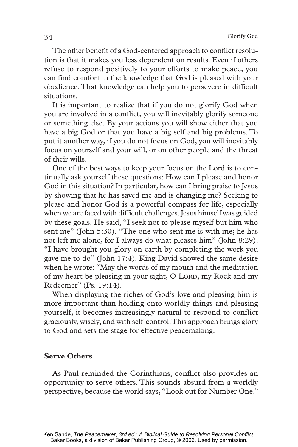The other benefit of a God-centered approach to conflict resolution is that it makes you less dependent on results. Even if others refuse to respond positively to your efforts to make peace, you can find comfort in the knowledge that God is pleased with your obedience. That knowledge can help you to persevere in difficult situations.

It is important to realize that if you do not glorify God when you are involved in a conflict, you will inevitably glorify someone or something else. By your actions you will show either that you have a big God or that you have a big self and big problems. To put it another way, if you do not focus on God, you will inevitably focus on yourself and your will, or on other people and the threat of their wills.

One of the best ways to keep your focus on the Lord is to continually ask yourself these questions: How can I please and honor God in this situation? In particular, how can I bring praise to Jesus by showing that he has saved me and is changing me? Seeking to please and honor God is a powerful compass for life, especially when we are faced with difficult challenges. Jesus himself was guided by these goals. He said, "I seek not to please myself but him who sent me" (John 5:30). "The one who sent me is with me; he has not left me alone, for I always do what pleases him" (John 8:29). "I have brought you glory on earth by completing the work you gave me to do" (John 17:4). King David showed the same desire when he wrote: "May the words of my mouth and the meditation of my heart be pleasing in your sight, O LORD, my Rock and my Redeemer" (Ps. 19:14).

When displaying the riches of God's love and pleasing him is more important than holding onto worldly things and pleasing yourself, it becomes increasingly natural to respond to conflict graciously, wisely, and with self-control. This approach brings glory to God and sets the stage for effective peacemaking.

#### **Serve Others**

As Paul reminded the Corinthians, conflict also provides an opportunity to serve others. This sounds absurd from a worldly perspective, because the world says, "Look out for Number One."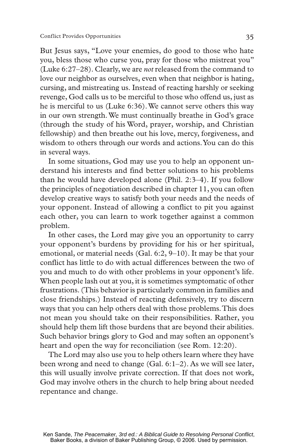But Jesus says, "Love your enemies, do good to those who hate you, bless those who curse you, pray for those who mistreat you" (Luke 6:27–28). Clearly, we are *not* released from the command to love our neighbor as ourselves, even when that neighbor is hating, cursing, and mistreating us. Instead of reacting harshly or seeking revenge, God calls us to be merciful to those who offend us, just as he is merciful to us (Luke 6:36). We cannot serve others this way in our own strength. We must continually breathe in God's grace (through the study of his Word, prayer, worship, and Christian fellowship) and then breathe out his love, mercy, forgiveness, and wisdom to others through our words and actions. You can do this in several ways.

In some situations, God may use you to help an opponent understand his interests and find better solutions to his problems than he would have developed alone (Phil. 2:3–4). If you follow the principles of negotiation described in chapter 11, you can often develop creative ways to satisfy both your needs and the needs of your opponent. Instead of allowing a conflict to pit you against each other, you can learn to work together against a common problem.

In other cases, the Lord may give you an opportunity to carry your opponent's burdens by providing for his or her spiritual, emotional, or material needs (Gal. 6:2, 9–10). It may be that your conflict has little to do with actual differences between the two of you and much to do with other problems in your opponent's life. When people lash out at you, it is sometimes symptomatic of other frustrations. (This behavior is particularly common in families and close friendships.) Instead of reacting defensively, try to discern ways that you can help others deal with those problems. This does not mean you should take on their responsibilities. Rather, you should help them lift those burdens that are beyond their abilities. Such behavior brings glory to God and may soften an opponent's heart and open the way for reconciliation (see Rom. 12:20).

The Lord may also use you to help others learn where they have been wrong and need to change (Gal. 6:1–2). As we will see later, this will usually involve private correction. If that does not work, God may involve others in the church to help bring about needed repentance and change.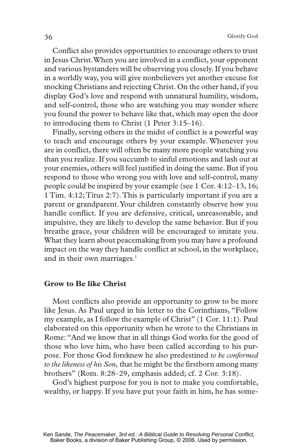Conflict also provides opportunities to encourage others to trust in Jesus Christ. When you are involved in a conflict, your opponent and various bystanders will be observing you closely. If you behave in a worldly way, you will give nonbelievers yet another excuse for mocking Christians and rejecting Christ. On the other hand, if you display God's love and respond with unnatural humility, wisdom, and self-control, those who are watching you may wonder where you found the power to behave like that, which may open the door to introducing them to Christ (1 Peter 3:15–16).

Finally, serving others in the midst of conflict is a powerful way to teach and encourage others by your example. Whenever you are in conflict, there will often be many more people watching you than you realize. If you succumb to sinful emotions and lash out at your enemies, others will feel justified in doing the same. But if you respond to those who wrong you with love and self-control, many people could be inspired by your example (see 1 Cor. 4:12–13, 16; 1 Tim. 4:12; Titus 2:7). This is particularly important if you are a parent or grandparent. Your children constantly observe how you handle conflict. If you are defensive, critical, unreasonable, and impulsive, they are likely to develop the same behavior. But if you breathe grace, your children will be encouraged to imitate you. What they learn about peacemaking from you may have a profound impact on the way they handle conflict at school, in the workplace, and in their own marriages.<sup>1</sup>

#### **Grow to Be like Christ**

Most conflicts also provide an opportunity to grow to be more like Jesus. As Paul urged in his letter to the Corinthians, "Follow my example, as I follow the example of Christ" (1 Cor. 11:1). Paul elaborated on this opportunity when he wrote to the Christians in Rome: "And we know that in all things God works for the good of those who love him, who have been called according to his purpose. For those God foreknew he also predestined *to be conformed to the likeness of his Son,* that he might be the firstborn among many brothers" (Rom. 8:28–29, emphasis added; cf. 2 Cor. 3:18).

God's highest purpose for you is not to make you comfortable, wealthy, or happy. If you have put your faith in him, he has some-

Ken Sande, *The Peacemaker, 3rd ed.: A Biblical Guide to Resolving Personal Conflict*, Baker Books, a division of Baker Publishing Group, © 2006. Used by permission.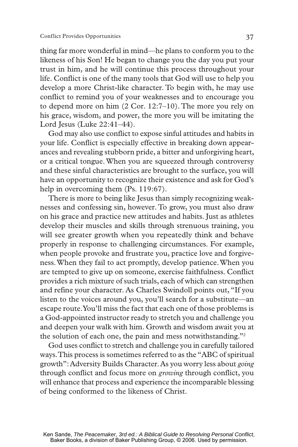thing far more wonderful in mind—he plans to conform you to the likeness of his Son! He began to change you the day you put your trust in him, and he will continue this process throughout your life. Conflict is one of the many tools that God will use to help you develop a more Christ-like character. To begin with, he may use conflict to remind you of your weaknesses and to encourage you to depend more on him (2 Cor. 12:7–10). The more you rely on his grace, wisdom, and power, the more you will be imitating the Lord Jesus (Luke 22:41–44).

God may also use conflict to expose sinful attitudes and habits in your life. Conflict is especially effective in breaking down appearances and revealing stubborn pride, a bitter and unforgiving heart, or a critical tongue. When you are squeezed through controversy and these sinful characteristics are brought to the surface, you will have an opportunity to recognize their existence and ask for God's help in overcoming them (Ps. 119:67).

There is more to being like Jesus than simply recognizing weaknesses and confessing sin, however. To grow, you must also draw on his grace and practice new attitudes and habits. Just as athletes develop their muscles and skills through strenuous training, you will see greater growth when you repeatedly think and behave properly in response to challenging circumstances. For example, when people provoke and frustrate you, practice love and forgiveness. When they fail to act promptly, develop patience. When you are tempted to give up on someone, exercise faithfulness. Conflict provides a rich mixture of such trials, each of which can strengthen and refine your character. As Charles Swindoll points out, "If you listen to the voices around you, you'll search for a substitute—an escape route. You'll miss the fact that each one of those problems is a God-appointed instructor ready to stretch you and challenge you and deepen your walk with him. Growth and wisdom await you at the solution of each one, the pain and mess notwithstanding."<sup>2</sup>

God uses conflict to stretch and challenge you in carefully tailored ways. This process is sometimes referred to as the "ABC of spiritual growth": Adversity Builds Character. As you worry less about *going* through conflict and focus more on *growing* through conflict, you will enhance that process and experience the incomparable blessing of being conformed to the likeness of Christ.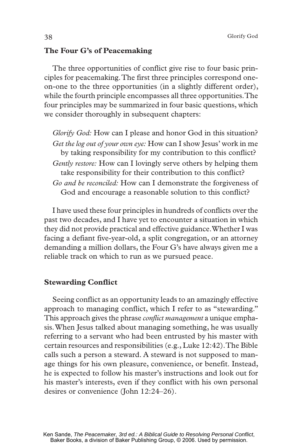#### **The Four G's of Peacemaking**

The three opportunities of conflict give rise to four basic principles for peacemaking. The first three principles correspond oneon-one to the three opportunities (in a slightly different order), while the fourth principle encompasses all three opportunities. The four principles may be summarized in four basic questions, which we consider thoroughly in subsequent chapters:

*Glorify God:* How can I please and honor God in this situation? *Get the log out of your own eye:* How can I show Jesus' work in me by taking responsibility for my contribution to this conflict? *Gently restore:* How can I lovingly serve others by helping them take responsibility for their contribution to this conflict? *Go and be reconciled:* How can I demonstrate the forgiveness of God and encourage a reasonable solution to this conflict?

I have used these four principles in hundreds of conflicts over the past two decades, and I have yet to encounter a situation in which they did not provide practical and effective guidance. Whether I was facing a defiant five-year-old, a split congregation, or an attorney demanding a million dollars, the Four G's have always given me a reliable track on which to run as we pursued peace.

#### **Stewarding Conflict**

Seeing conflict as an opportunity leads to an amazingly effective approach to managing conflict, which I refer to as "stewarding." This approach gives the phrase *conflict management* a unique emphasis. When Jesus talked about managing something, he was usually referring to a servant who had been entrusted by his master with certain resources and responsibilities (e.g., Luke 12:42). The Bible calls such a person a steward. A steward is not supposed to manage things for his own pleasure, convenience, or benefit. Instead, he is expected to follow his master's instructions and look out for his master's interests, even if they conflict with his own personal desires or convenience (John 12:24–26).

Ken Sande, *The Peacemaker, 3rd ed.: A Biblical Guide to Resolving Personal Conflict*, Baker Books, a division of Baker Publishing Group, © 2006. Used by permission.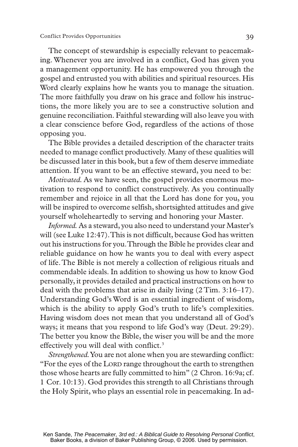The concept of stewardship is especially relevant to peacemaking. Whenever you are involved in a conflict, God has given you a management opportunity. He has empowered you through the gospel and entrusted you with abilities and spiritual resources. His Word clearly explains how he wants you to manage the situation. The more faithfully you draw on his grace and follow his instructions, the more likely you are to see a constructive solution and genuine reconciliation. Faithful stewarding will also leave you with a clear conscience before God, regardless of the actions of those opposing you.

The Bible provides a detailed description of the character traits needed to manage conflict productively. Many of these qualities will be discussed later in this book, but a few of them deserve immediate attention. If you want to be an effective steward, you need to be:

*Motivated.* As we have seen, the gospel provides enormous motivation to respond to conflict constructively. As you continually remember and rejoice in all that the Lord has done for you, you will be inspired to overcome selfish, shortsighted attitudes and give yourself wholeheartedly to serving and honoring your Master.

*Informed.* As a steward, you also need to understand your Master's will (see Luke 12:47). This is not difficult, because God has written out his instructions for you. Through the Bible he provides clear and reliable guidance on how he wants you to deal with every aspect of life. The Bible is not merely a collection of religious rituals and commendable ideals. In addition to showing us how to know God personally, it provides detailed and practical instructions on how to deal with the problems that arise in daily living (2 Tim. 3:16–17). Understanding God's Word is an essential ingredient of wisdom, which is the ability to apply God's truth to life's complexities. Having wisdom does not mean that you understand all of God's ways; it means that you respond to life God's way (Deut. 29:29). The better you know the Bible, the wiser you will be and the more effectively you will deal with conflict.<sup>3</sup>

*Strengthened.* You are not alone when you are stewarding conflict: "For the eyes of the LORD range throughout the earth to strengthen those whose hearts are fully committed to him" (2 Chron. 16:9a; cf. 1 Cor. 10:13). God provides this strength to all Christians through the Holy Spirit, who plays an essential role in peacemaking. In ad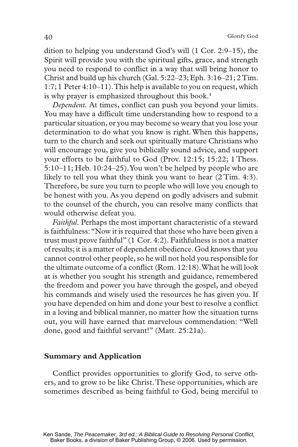dition to helping you understand God's will (1 Cor. 2:9–15), the Spirit will provide you with the spiritual gifts, grace, and strength you need to respond to conflict in a way that will bring honor to Christ and build up his church (Gal. 5:22–23; Eph. 3:16–21; 2Tim. 1:7; 1 Peter 4:10–11). This help is available to you on request, which is why prayer is emphasized throughout this book.<sup>4</sup>

*Dependent.* At times, conflict can push you beyond your limits. You may have a difficult time understanding how to respond to a particular situation, or you may become so weary that you lose your determination to do what you know is right. When this happens, turn to the church and seek out spiritually mature Christians who will encourage you, give you biblically sound advice, and support your efforts to be faithful to God (Prov. 12:15; 15:22; 1 Thess. 5:10–11; Heb. 10:24–25). You won't be helped by people who are likely to tell you what they think you want to hear (2 Tim. 4:3). Therefore, be sure you turn to people who will love you enough to be honest with you. As you depend on godly advisers and submit to the counsel of the church, you can resolve many conflicts that would otherwise defeat you.

*Faithful.* Perhaps the most important characteristic of a steward is faithfulness: "Now it is required that those who have been given a trust must prove faithful" (1 Cor. 4:2). Faithfulness is not a matter of results; it is a matter of dependent obedience. God knows that you cannot control other people, so he will not hold you responsible for the ultimate outcome of a conflict (Rom. 12:18). What he will look at is whether you sought his strength and guidance, remembered the freedom and power you have through the gospel, and obeyed his commands and wisely used the resources he has given you. If you have depended on him and done your best to resolve a conflict in a loving and biblical manner, no matter how the situation turns out, you will have earned that marvelous commendation: "Well done, good and faithful servant!" (Matt. 25:21a).

#### **Summary and Application**

Conflict provides opportunities to glorify God, to serve others, and to grow to be like Christ. These opportunities, which are sometimes described as being faithful to God, being merciful to